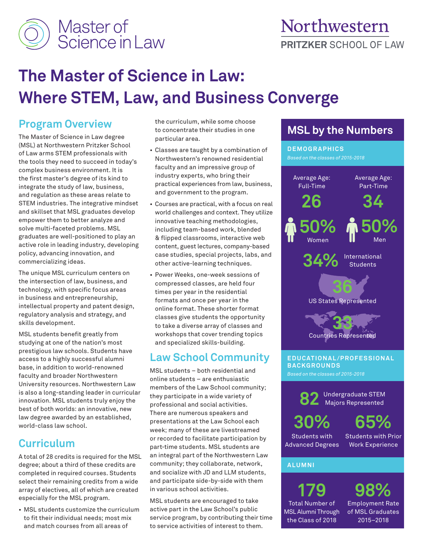

# **The Master of Science in Law: Where STEM, Law, and Business Converge**

## **Program Overview**

The Master of Science in Law degree (MSL) at Northwestern Pritzker School of Law arms STEM professionals with the tools they need to succeed in today's complex business environment. It is the first master's degree of its kind to integrate the study of law, business, and regulation as these areas relate to STEM industries. The integrative mindset and skillset that MSL graduates develop empower them to better analyze and solve multi-faceted problems. MSL graduates are well-positioned to play an active role in leading industry, developing policy, advancing innovation, and commercializing ideas.

The unique MSL curriculum centers on the intersection of law, business, and technology, with specific focus areas in business and entrepreneurship, intellectual property and patent design, regulatory analysis and strategy, and skills development.

MSL students benefit greatly from studying at one of the nation's most prestigious law schools. Students have access to a highly successful alumni base, in addition to world-renowned faculty and broader Northwestern University resources. Northwestern Law is also a long-standing leader in curricular innovation. MSL students truly enjoy the best of both worlds: an innovative, new law degree awarded by an established, world-class law school.

### **Curriculum**

A total of 28 credits is required for the MSL degree; about a third of these credits are completed in required courses. Students select their remaining credits from a wide array of electives, all of which are created especially for the MSL program.

• MSL students customize the curriculum to fit their individual needs; most mix and match courses from all areas of

the curriculum, while some choose to concentrate their studies in one particular area.

- Classes are taught by a combination of Northwestern's renowned residential faculty and an impressive group of industry experts, who bring their practical experiences from law, business, and government to the program.
- Courses are practical, with a focus on real world challenges and context. They utilize innovative teaching methodologies, including team-based work, blended & flipped classrooms, interactive web content, guest lectures, company-based case studies, special projects, labs, and other active-learning techniques.
- Power Weeks, one-week sessions of compressed classes, are held four times per year in the residential formats and once per year in the online format. These shorter format classes give students the opportunity to take a diverse array of classes and workshops that cover trending topics and specialized skills-building.

### **Law School Community**

MSL students – both residential and online students – are enthusiastic members of the Law School community; they participate in a wide variety of professional and social activities. There are numerous speakers and presentations at the Law School each week; many of these are livestreamed or recorded to facilitate participation by part-time students. MSL students are an integral part of the Northwestern Law community; they collaborate, network, and socialize with JD and LLM students, and participate side-by-side with them in various school activities.

MSL students are encouraged to take active part in the Law School's public service program, by contributing their time to service activities of interest to them.

# **MSL by the Numbers**

**DEMOGRAPHICS** *Based on the classes of 2015-2018*



### **ALUMNI**

**179** Total Number of MSL Alumni Through the Class of 2018

Advanced Degrees

Employment Rate of MSL Graduates 2015–2018 **98%**

Work Experience